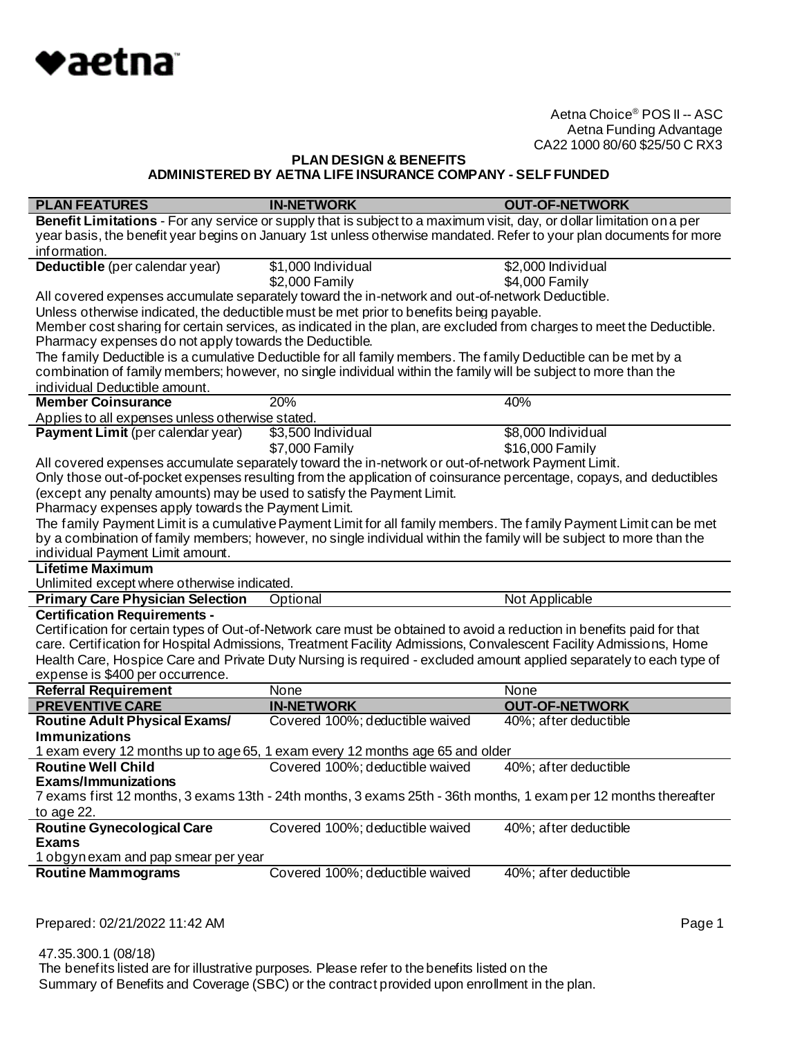

## **PLAN DESIGN & BENEFITS ADMINISTERED BY AETNA LIFE INSURANCE COMPANY - SELF FUNDED**

| <b>PLAN FEATURES</b>                                                   | <b>IN-NETWORK</b>                                                                                                      | <b>OUT-OF-NETWORK</b> |
|------------------------------------------------------------------------|------------------------------------------------------------------------------------------------------------------------|-----------------------|
|                                                                        | Benefit Limitations - For any service or supply that is subject to a maximum visit, day, or dollar limitation on a per |                       |
|                                                                        | year basis, the benefit year begins on January 1st unless otherwise mandated. Refer to your plan documents for more    |                       |
| information.                                                           |                                                                                                                        |                       |
| Deductible (per calendar year)                                         | \$1,000 Individual                                                                                                     | \$2,000 Individual    |
|                                                                        | \$2,000 Family                                                                                                         | \$4,000 Family        |
|                                                                        | All covered expenses accumulate separately toward the in-network and out-of-network Deductible.                        |                       |
|                                                                        | Unless otherwise indicated, the deductible must be met prior to benefits being payable.                                |                       |
|                                                                        | Member cost sharing for certain services, as indicated in the plan, are excluded from charges to meet the Deductible.  |                       |
| Pharmacy expenses do not apply towards the Deductible.                 |                                                                                                                        |                       |
|                                                                        | The family Deductible is a cumulative Deductible for all family members. The family Deductible can be met by a         |                       |
|                                                                        | combination of family members; however, no single individual within the family will be subject to more than the        |                       |
| individual Deductible amount.                                          |                                                                                                                        |                       |
| <b>Member Coinsurance</b>                                              | 20%                                                                                                                    | 40%                   |
| Applies to all expenses unless otherwise stated.                       |                                                                                                                        |                       |
| Payment Limit (per calendar year)                                      | \$3,500 Individual                                                                                                     | \$8,000 Individual    |
|                                                                        | \$7,000 Family                                                                                                         | \$16,000 Family       |
|                                                                        | All covered expenses accumulate separately toward the in-network or out-of-network Payment Limit.                      |                       |
|                                                                        | Only those out-of-pocket expenses resulting from the application of coinsurance percentage, copays, and deductibles    |                       |
| (except any penalty amounts) may be used to satisfy the Payment Limit. |                                                                                                                        |                       |
| Pharmacy expenses apply towards the Payment Limit.                     |                                                                                                                        |                       |
|                                                                        | The family Payment Limit is a cumulative Payment Limit for all family members. The family Payment Limit can be met     |                       |
|                                                                        | by a combination of family members; however, no single individual within the family will be subject to more than the   |                       |
| individual Payment Limit amount.                                       |                                                                                                                        |                       |
| <b>Lifetime Maximum</b>                                                |                                                                                                                        |                       |
| Unlimited except where otherwise indicated.                            |                                                                                                                        |                       |
| <b>Primary Care Physician Selection</b>                                | Optional                                                                                                               | Not Applicable        |
| <b>Certification Requirements -</b>                                    |                                                                                                                        |                       |
|                                                                        | Certification for certain types of Out-of-Network care must be obtained to avoid a reduction in benefits paid for that |                       |
|                                                                        | care. Certification for Hospital Admissions, Treatment Facility Admissions, Convalescent Facility Admissions, Home     |                       |
|                                                                        | Health Care, Hospice Care and Private Duty Nursing is required - excluded amount applied separately to each type of    |                       |
| expense is \$400 per occurrence.<br><b>Referral Requirement</b>        | None                                                                                                                   | None                  |
| <b>PREVENTIVE CARE</b>                                                 | <b>IN-NETWORK</b>                                                                                                      | <b>OUT-OF-NETWORK</b> |
| <b>Routine Adult Physical Exams/</b>                                   | Covered 100%; deductible waived                                                                                        | 40%; after deductible |
| <b>Immunizations</b>                                                   |                                                                                                                        |                       |
|                                                                        | 1 exam every 12 months up to age 65, 1 exam every 12 months age 65 and older                                           |                       |
| <b>Routine Well Child</b>                                              | Covered 100%; deductible waived                                                                                        | 40%; after deductible |
| Exams/Immunizations                                                    |                                                                                                                        |                       |
|                                                                        | 7 exams first 12 months, 3 exams 13th - 24th months, 3 exams 25th - 36th months, 1 exam per 12 months thereafter       |                       |
| to age 22.                                                             |                                                                                                                        |                       |
| <b>Routine Gynecological Care</b>                                      | Covered 100%; deductible waived                                                                                        | 40%; after deductible |
| <b>Exams</b>                                                           |                                                                                                                        |                       |
| 1 obgynexam and pap smear per year                                     |                                                                                                                        |                       |
| <b>Routine Mammograms</b>                                              | Covered 100%; deductible waived                                                                                        | 40%; after deductible |
|                                                                        |                                                                                                                        |                       |

Prepared: 02/21/2022 11:42 AM **Page 1**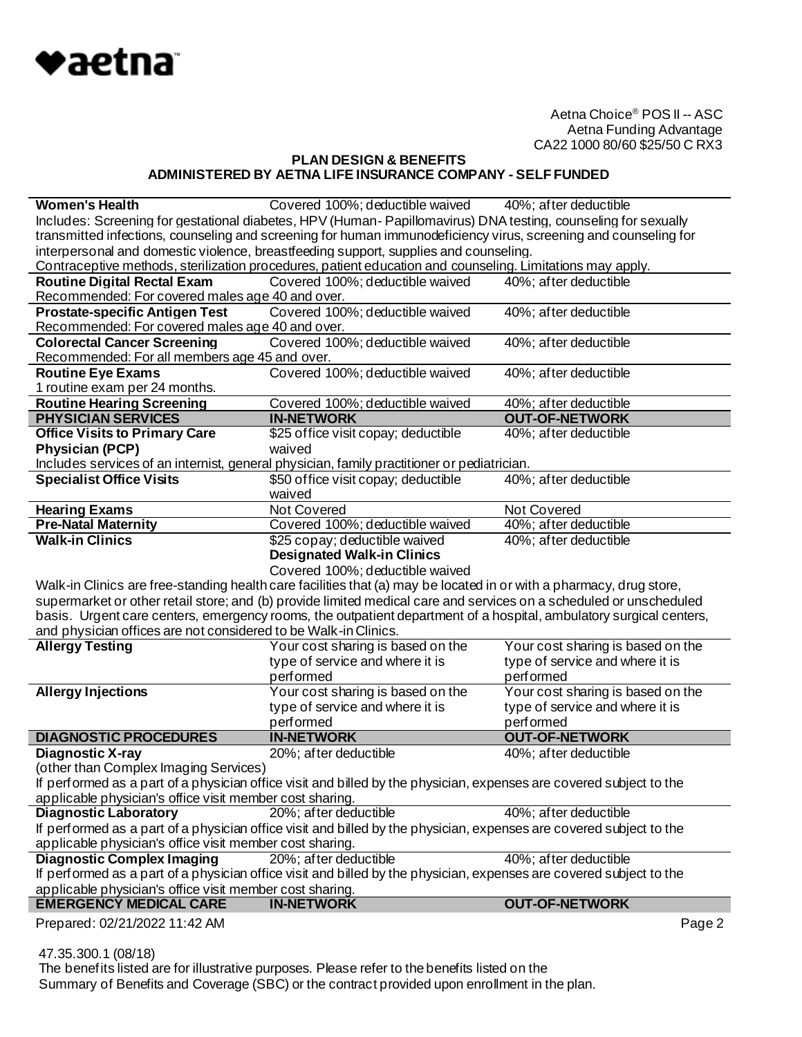

## **PLAN DESIGN & BENEFITS ADMINISTERED BY AETNA LIFE INSURANCE COMPANY - SELF FUNDED**

| <b>Women's Health</b>                                           | Covered 100%; deductible waived 40%; after deductible                                                               |                                   |  |
|-----------------------------------------------------------------|---------------------------------------------------------------------------------------------------------------------|-----------------------------------|--|
|                                                                 | Includes: Screening for gestational diabetes, HPV (Human-Papillomavirus) DNA testing, counseling for sexually       |                                   |  |
|                                                                 | transmitted infections, counseling and screening for human immunodeficiency virus, screening and counseling for     |                                   |  |
|                                                                 | interpersonal and domestic violence, breastfeeding support, supplies and counseling.                                |                                   |  |
|                                                                 | Contraceptive methods, sterilization procedures, patient education and counseling. Limitations may apply.           |                                   |  |
| <b>Routine Digital Rectal Exam</b>                              | Covered 100%; deductible waived                                                                                     | 40%; after deductible             |  |
| Recommended: For covered males age 40 and over.                 |                                                                                                                     |                                   |  |
| <b>Prostate-specific Antigen Test</b>                           | Covered 100%; deductible waived                                                                                     | 40%; after deductible             |  |
| Recommended: For covered males age 40 and over.                 |                                                                                                                     |                                   |  |
| <b>Colorectal Cancer Screening</b>                              | Covered 100%; deductible waived                                                                                     | 40%; after deductible             |  |
| Recommended: For all members age 45 and over.                   |                                                                                                                     |                                   |  |
| <b>Routine Eye Exams</b>                                        | Covered 100%; deductible waived                                                                                     | 40%; after deductible             |  |
| 1 routine exam per 24 months.                                   |                                                                                                                     |                                   |  |
| <b>Routine Hearing Screening</b>                                | Covered 100%; deductible waived                                                                                     | 40%; after deductible             |  |
| <b>PHYSICIAN SERVICES</b>                                       | <b>IN-NETWORK</b>                                                                                                   | <b>OUT-OF-NETWORK</b>             |  |
| <b>Office Visits to Primary Care</b>                            | \$25 office visit copay; deductible                                                                                 | 40%; after deductible             |  |
| <b>Physician (PCP)</b>                                          | waived                                                                                                              |                                   |  |
|                                                                 | Includes services of an internist, general physician, family practitioner or pediatrician.                          |                                   |  |
| <b>Specialist Office Visits</b>                                 | \$50 office visit copay; deductible                                                                                 | 40%; after deductible             |  |
|                                                                 | waived                                                                                                              |                                   |  |
| <b>Hearing Exams</b>                                            | Not Covered                                                                                                         | Not Covered                       |  |
| <b>Pre-Natal Maternity</b>                                      | Covered 100%; deductible waived                                                                                     | 40%; after deductible             |  |
| <b>Walk-in Clinics</b>                                          | \$25 copay; deductible waived                                                                                       | 40%; after deductible             |  |
|                                                                 | <b>Designated Walk-in Clinics</b>                                                                                   |                                   |  |
|                                                                 | Covered 100%; deductible waived                                                                                     |                                   |  |
|                                                                 | Walk-in Clinics are free-standing health care facilities that (a) may be located in or with a pharmacy, drug store, |                                   |  |
|                                                                 | supermarket or other retail store; and (b) provide limited medical care and services on a scheduled or unscheduled  |                                   |  |
|                                                                 | basis. Urgent care centers, emergency rooms, the outpatient department of a hospital, ambulatory surgical centers,  |                                   |  |
| and physician offices are not considered to be Walk-in Clinics. |                                                                                                                     |                                   |  |
| <b>Allergy Testing</b>                                          | Your cost sharing is based on the                                                                                   | Your cost sharing is based on the |  |
|                                                                 |                                                                                                                     |                                   |  |
|                                                                 | type of service and where it is                                                                                     | type of service and where it is   |  |
|                                                                 | performed                                                                                                           | performed                         |  |
| <b>Allergy Injections</b>                                       | Your cost sharing is based on the                                                                                   | Your cost sharing is based on the |  |
|                                                                 | type of service and where it is                                                                                     | type of service and where it is   |  |
|                                                                 | performed                                                                                                           | performed                         |  |
| <b>DIAGNOSTIC PROCEDURES</b>                                    | <b>IN-NETWORK</b>                                                                                                   | <b>OUT-OF-NETWORK</b>             |  |
| <b>Diagnostic X-ray</b>                                         | 20%; after deductible                                                                                               | 40%; after deductible             |  |
| (other than Complex Imaging Services)                           |                                                                                                                     |                                   |  |
|                                                                 | If performed as a part of a physician office visit and billed by the physician, expenses are covered subject to the |                                   |  |
| applicable physician's office visit member cost sharing.        |                                                                                                                     |                                   |  |
| <b>Diagnostic Laboratory</b>                                    | 20%; after deductible                                                                                               | 40%; after deductible             |  |
|                                                                 | If performed as a part of a physician office visit and billed by the physician, expenses are covered subject to the |                                   |  |
| applicable physician's office visit member cost sharing.        |                                                                                                                     |                                   |  |
| <b>Diagnostic Complex Imaging</b>                               | 20%; after deductible                                                                                               | 40%; after deductible             |  |
|                                                                 | If performed as a part of a physician office visit and billed by the physician, expenses are covered subject to the |                                   |  |
| applicable physician's office visit member cost sharing.        |                                                                                                                     |                                   |  |
| <b>EMERGENCY MEDICAL CARE</b>                                   | <b>IN-NETWORK</b>                                                                                                   | <b>OUT-OF-NETWORK</b>             |  |

47.35.300.1 (08/18)

 The benefits listed are for illustrative purposes. Please refer to the benefits listed on the Summary of Benefits and Coverage (SBC) or the contract provided upon enrollment in the plan.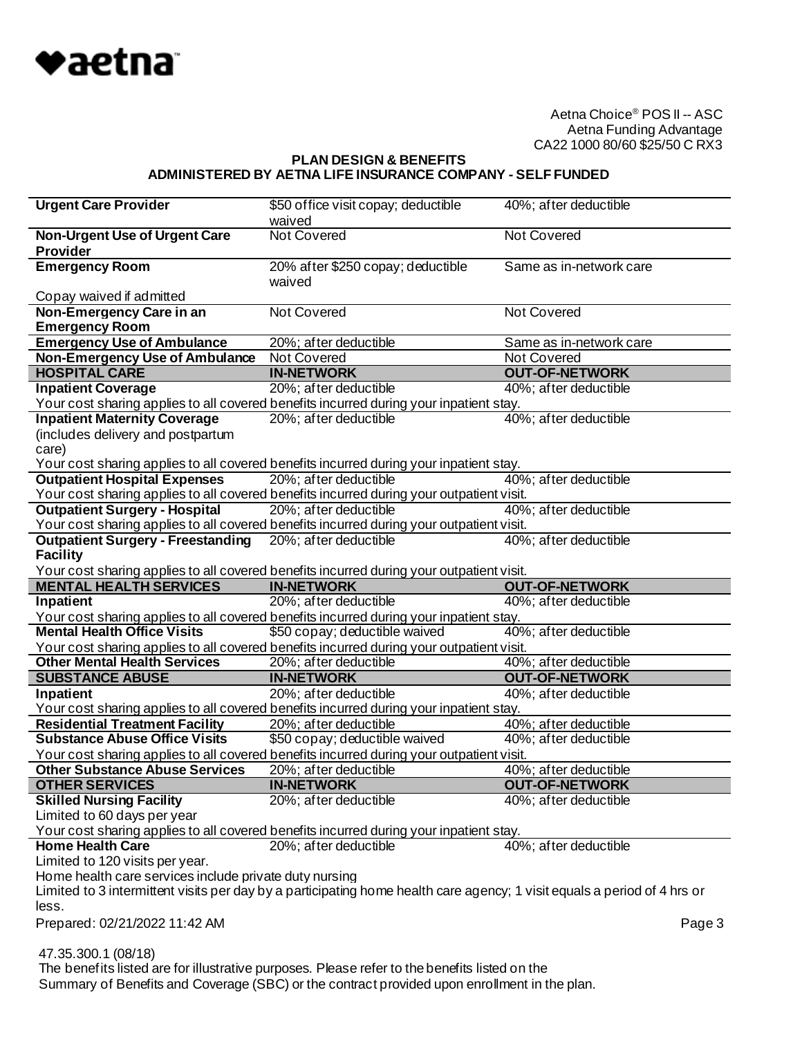

#### **PLAN DESIGN & BENEFITS ADMINISTERED BY AETNA LIFE INSURANCE COMPANY - SELF FUNDED**

| <b>Urgent Care Provider</b>                                                                                               | \$50 of fice visit copay; deductible                                                          | 40%; after deductible   |
|---------------------------------------------------------------------------------------------------------------------------|-----------------------------------------------------------------------------------------------|-------------------------|
|                                                                                                                           | waived                                                                                        |                         |
| Non-Urgent Use of Urgent Care                                                                                             | <b>Not Covered</b>                                                                            | <b>Not Covered</b>      |
| <b>Provider</b>                                                                                                           |                                                                                               |                         |
| <b>Emergency Room</b>                                                                                                     | 20% after \$250 copay; deductible                                                             | Same as in-network care |
|                                                                                                                           | waived                                                                                        |                         |
| Copay waived if admitted                                                                                                  |                                                                                               |                         |
| Non-Emergency Care in an                                                                                                  | Not Covered                                                                                   | <b>Not Covered</b>      |
| <b>Emergency Room</b>                                                                                                     |                                                                                               |                         |
| <b>Emergency Use of Ambulance</b>                                                                                         | 20%; after deductible                                                                         | Same as in-network care |
| <b>Non-Emergency Use of Ambulance</b>                                                                                     | Not Covered                                                                                   | Not Covered             |
| <b>HOSPITAL CARE</b>                                                                                                      | <b>IN-NETWORK</b>                                                                             | <b>OUT-OF-NETWORK</b>   |
| <b>Inpatient Coverage</b>                                                                                                 | 20%; after deductible                                                                         | 40%; after deductible   |
| Your cost sharing applies to all covered benefits incurred during your inpatient stay.                                    |                                                                                               |                         |
| <b>Inpatient Maternity Coverage</b>                                                                                       | 20%; after deductible                                                                         | 40%; after deductible   |
| (includes delivery and postpartum                                                                                         |                                                                                               |                         |
| care)                                                                                                                     |                                                                                               |                         |
| Your cost sharing applies to all covered benefits incurred during your inpatient stay.                                    |                                                                                               |                         |
| <b>Outpatient Hospital Expenses</b>                                                                                       | 20%; after deductible                                                                         | 40%; after deductible   |
| Your cost sharing applies to all covered benefits incurred during your outpatient visit.                                  |                                                                                               |                         |
| <b>Outpatient Surgery - Hospital</b>                                                                                      | 20%; after deductible                                                                         | 40%; after deductible   |
| Your cost sharing applies to all covered benefits incurred during your outpatient visit.                                  |                                                                                               |                         |
| <b>Outpatient Surgery - Freestanding</b>                                                                                  | 20%; after deductible                                                                         | 40%; after deductible   |
|                                                                                                                           |                                                                                               |                         |
| <b>Facility</b>                                                                                                           |                                                                                               |                         |
| Your cost sharing applies to all covered benefits incurred during your outpatient visit.<br><b>MENTAL HEALTH SERVICES</b> |                                                                                               |                         |
|                                                                                                                           | <b>IN-NETWORK</b>                                                                             | <b>OUT-OF-NETWORK</b>   |
|                                                                                                                           |                                                                                               |                         |
| Inpatient                                                                                                                 | 20%; after deductible                                                                         | 40%; after deductible   |
| Your cost sharing applies to all covered benefits incurred during your inpatient stay.                                    |                                                                                               |                         |
| <b>Mental Health Office Visits</b>                                                                                        | \$50 copay; deductible waived                                                                 | 40%; after deductible   |
| Your cost sharing applies to all covered benefits incurred during your outpatient visit.                                  |                                                                                               |                         |
| <b>Other Mental Health Services</b>                                                                                       | 20%; after deductible                                                                         | 40%; after deductible   |
| <b>SUBSTANCE ABUSE</b>                                                                                                    | <b>IN-NETWORK</b>                                                                             | <b>OUT-OF-NETWORK</b>   |
| Inpatient                                                                                                                 | 20%; after deductible                                                                         | 40%; after deductible   |
| Your cost sharing applies to all covered benefits incurred during your inpatient stay.                                    |                                                                                               |                         |
| <b>Residential Treatment Facility</b>                                                                                     | 20%; after deductible                                                                         | 40%; after deductible   |
| <b>Substance Abuse Office Visits</b>                                                                                      | \$50 copay; deductible waived                                                                 | 40%; after deductible   |
| Your cost sharing applies to all covered benefits incurred during your outpatient visit.                                  |                                                                                               |                         |
| <b>Other Substance Abuse Services</b>                                                                                     | 20%; after deductible                                                                         | 40%; after deductible   |
| <b>OTHER SERVICES</b>                                                                                                     | <b>IN-NETWORK</b>                                                                             | <b>OUT-OF-NETWORK</b>   |
| <b>Skilled Nursing Facility</b>                                                                                           | 20%; after deductible                                                                         | 40%; after deductible   |
| Limited to 60 days per year                                                                                               |                                                                                               |                         |
|                                                                                                                           |                                                                                               |                         |
| Your cost sharing applies to all covered benefits incurred during your inpatient stay.<br><b>Home Health Care</b>         |                                                                                               | 40%; after deductible   |
|                                                                                                                           | 20%; after deductible                                                                         |                         |
| Limited to 120 visits per year.                                                                                           |                                                                                               |                         |
| Home health care services include private duty nursing                                                                    |                                                                                               |                         |
| Limited to 3 intermittent visits per day by a participating home health care agency; 1 visit equals a period of 4 hrs or  |                                                                                               |                         |
| less.                                                                                                                     |                                                                                               |                         |
| Prepared: 02/21/2022 11:42 AM                                                                                             |                                                                                               | Page 3                  |
|                                                                                                                           |                                                                                               |                         |
| 47.35.300.1 (08/18)                                                                                                       | The benefits listed are for illustrative purposes. Please refer to the benefits listed on the |                         |

Summary of Benefits and Coverage (SBC) or the contract provided upon enrollment in the plan.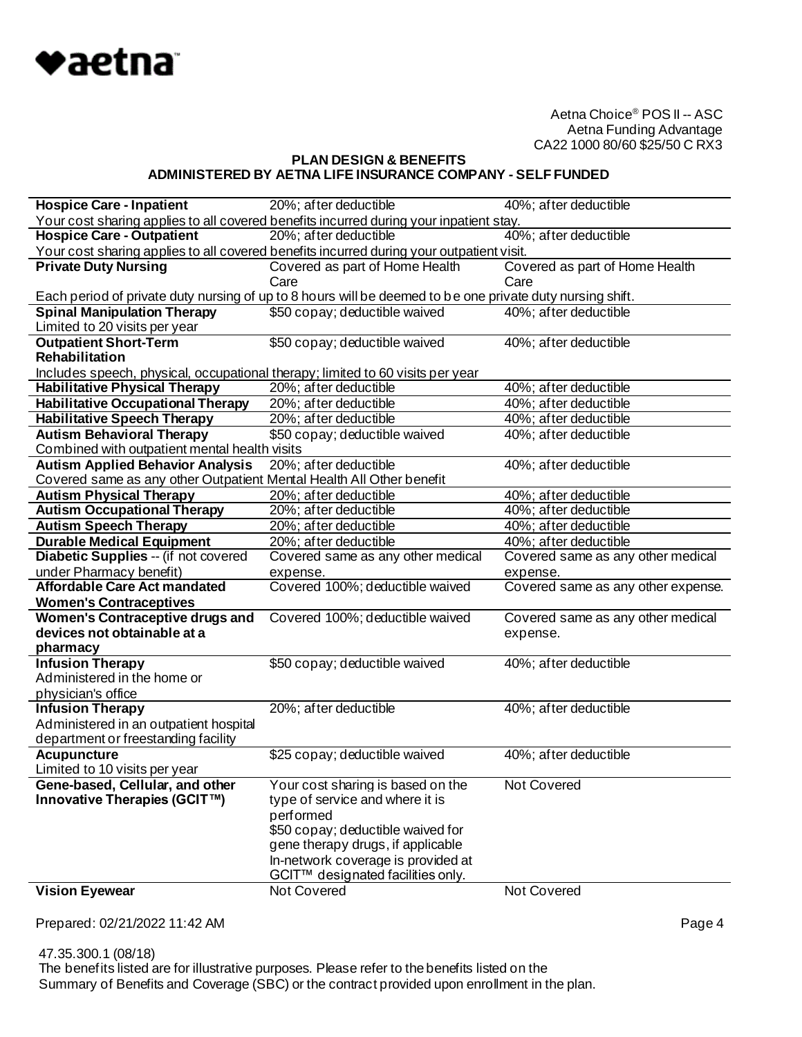

## **PLAN DESIGN & BENEFITS ADMINISTERED BY AETNA LIFE INSURANCE COMPANY - SELF FUNDED**

| <b>Hospice Care - Inpatient</b>                                                    | 20%; after deductible                                                                                     | 40%; after deductible              |
|------------------------------------------------------------------------------------|-----------------------------------------------------------------------------------------------------------|------------------------------------|
|                                                                                    | Your cost sharing applies to all covered benefits incurred during your inpatient stay.                    |                                    |
| 40%; after deductible<br><b>Hospice Care - Outpatient</b><br>20%; after deductible |                                                                                                           |                                    |
|                                                                                    | Your cost sharing applies to all covered benefits incurred during your outpatient visit.                  |                                    |
| <b>Private Duty Nursing</b>                                                        | Covered as part of Home Health                                                                            | Covered as part of Home Health     |
|                                                                                    | Care                                                                                                      | Care                               |
|                                                                                    | Each period of private duty nursing of up to 8 hours will be deemed to be one private duty nursing shift. |                                    |
| <b>Spinal Manipulation Therapy</b>                                                 | \$50 copay; deductible waived                                                                             | 40%; after deductible              |
| Limited to 20 visits per year                                                      |                                                                                                           |                                    |
| <b>Outpatient Short-Term</b>                                                       | \$50 copay; deductible waived                                                                             | 40%; after deductible              |
| Rehabilitation                                                                     |                                                                                                           |                                    |
| Includes speech, physical, occupational therapy; limited to 60 visits per year     |                                                                                                           |                                    |
| <b>Habilitative Physical Therapy</b>                                               | 20%; after deductible                                                                                     | 40%; after deductible              |
| <b>Habilitative Occupational Therapy</b>                                           | 20%; after deductible                                                                                     | 40%; after deductible              |
| <b>Habilitative Speech Therapy</b>                                                 | 20%; after deductible                                                                                     | 40%; after deductible              |
| <b>Autism Behavioral Therapy</b>                                                   | \$50 copay; deductible waived                                                                             | 40%; after deductible              |
| Combined with outpatient mental health visits                                      |                                                                                                           |                                    |
| <b>Autism Applied Behavior Analysis</b>                                            | 20%; after deductible                                                                                     | 40%; after deductible              |
| Covered same as any other Outpatient Mental Health All Other benefit               |                                                                                                           |                                    |
| <b>Autism Physical Therapy</b>                                                     | 20%; after deductible                                                                                     | 40%; after deductible              |
| <b>Autism Occupational Therapy</b>                                                 | 20%; after deductible                                                                                     | 40%; after deductible              |
| <b>Autism Speech Therapy</b>                                                       | 20%; after deductible                                                                                     | 40%; after deductible              |
| <b>Durable Medical Equipment</b>                                                   | 20%; after deductible                                                                                     | 40%; after deductible              |
| Diabetic Supplies -- (if not covered                                               | Covered same as any other medical                                                                         | Covered same as any other medical  |
| under Pharmacy benefit)                                                            | expense.                                                                                                  | expense.                           |
| <b>Affordable Care Act mandated</b>                                                | Covered 100%; deductible waived                                                                           | Covered same as any other expense. |
| <b>Women's Contraceptives</b>                                                      |                                                                                                           |                                    |
| Women's Contraceptive drugs and                                                    | Covered 100%; deductible waived                                                                           | Covered same as any other medical  |
| devices not obtainable at a                                                        |                                                                                                           | expense.                           |
| pharmacy                                                                           |                                                                                                           |                                    |
| <b>Infusion Therapy</b>                                                            | \$50 copay; deductible waived                                                                             | 40%; after deductible              |
| Administered in the home or                                                        |                                                                                                           |                                    |
| physician's office                                                                 |                                                                                                           |                                    |
| <b>Infusion Therapy</b>                                                            | 20%; after deductible                                                                                     | 40%; after deductible              |
| Administered in an outpatient hospital                                             |                                                                                                           |                                    |
| department or freestanding facility                                                |                                                                                                           |                                    |
| <b>Acupuncture</b>                                                                 | \$25 copay; deductible waived                                                                             | 40%; after deductible              |
| Limited to 10 visits per year                                                      |                                                                                                           |                                    |
| Gene-based, Cellular, and other                                                    | Your cost sharing is based on the                                                                         | Not Covered                        |
| Innovative Therapies (GCIT™)                                                       | type of service and where it is                                                                           |                                    |
|                                                                                    | performed                                                                                                 |                                    |
|                                                                                    | \$50 copay; deductible waived for                                                                         |                                    |
|                                                                                    | gene therapy drugs, if applicable                                                                         |                                    |
|                                                                                    | In-network coverage is provided at                                                                        |                                    |
|                                                                                    | GCIT™ designated facilities only.                                                                         |                                    |
| <b>Vision Eyewear</b>                                                              | Not Covered                                                                                               | Not Covered                        |
|                                                                                    |                                                                                                           |                                    |

Prepared: 02/21/2022 11:42 AM **Page 4** 

 47.35.300.1 (08/18) The benefits listed are for illustrative purposes. Please refer to the benefits listed on the Summary of Benefits and Coverage (SBC) or the contract provided upon enrollment in the plan.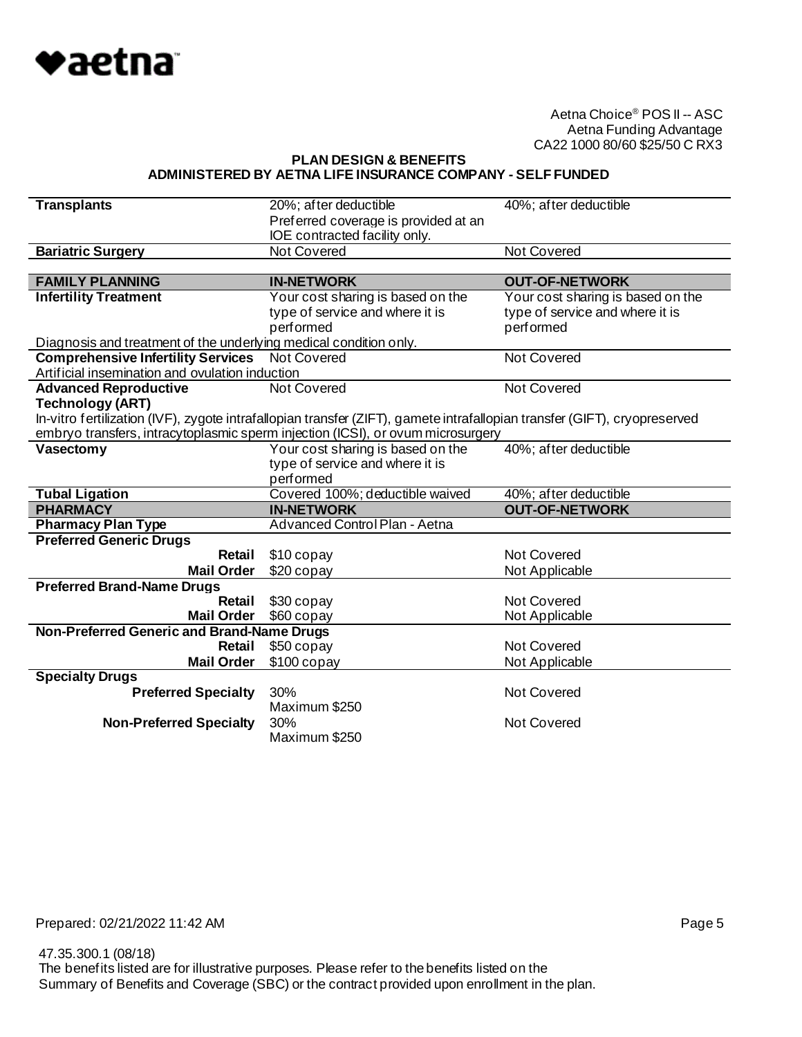

**PLAN DESIGN & BENEFITS ADMINISTERED BY AETNA LIFE INSURANCE COMPANY - SELF FUNDED**

| <b>Transplants</b>                                                | 20%; after deductible                                                                                                     | 40%; after deductible             |
|-------------------------------------------------------------------|---------------------------------------------------------------------------------------------------------------------------|-----------------------------------|
|                                                                   | Preferred coverage is provided at an                                                                                      |                                   |
|                                                                   | IOE contracted facility only.                                                                                             |                                   |
| <b>Bariatric Surgery</b>                                          | Not Covered                                                                                                               | <b>Not Covered</b>                |
|                                                                   |                                                                                                                           |                                   |
| <b>FAMILY PLANNING</b>                                            | <b>IN-NETWORK</b>                                                                                                         | <b>OUT-OF-NETWORK</b>             |
| <b>Infertility Treatment</b>                                      | Your cost sharing is based on the                                                                                         | Your cost sharing is based on the |
|                                                                   | type of service and where it is                                                                                           | type of service and where it is   |
|                                                                   | performed                                                                                                                 | performed                         |
| Diagnosis and treatment of the underlying medical condition only. |                                                                                                                           |                                   |
| <b>Comprehensive Infertility Services</b> Not Covered             |                                                                                                                           | Not Covered                       |
| Artificial insemination and ovulation induction                   |                                                                                                                           |                                   |
| <b>Advanced Reproductive</b>                                      | Not Covered                                                                                                               | <b>Not Covered</b>                |
| <b>Technology (ART)</b>                                           |                                                                                                                           |                                   |
|                                                                   | In-vitro fertilization (IVF), zygote intrafallopian transfer (ZIFT), gamete intrafallopian transfer (GIFT), cryopreserved |                                   |
|                                                                   | embryo transfers, intracytoplasmic sperm injection (ICSI), or ovum microsurgery                                           |                                   |
| Vasectomy                                                         | Your cost sharing is based on the                                                                                         | 40%; after deductible             |
|                                                                   | type of service and where it is                                                                                           |                                   |
|                                                                   | performed                                                                                                                 |                                   |
| <b>Tubal Ligation</b>                                             | Covered 100%; deductible waived                                                                                           | 40%; after deductible             |
| <b>PHARMACY</b>                                                   | <b>IN-NETWORK</b>                                                                                                         | <b>OUT-OF-NETWORK</b>             |
| <b>Pharmacy Plan Type</b>                                         | <b>Advanced Control Plan - Aetna</b>                                                                                      |                                   |
| <b>Preferred Generic Drugs</b>                                    |                                                                                                                           |                                   |
| Retail                                                            | \$10 copay                                                                                                                | Not Covered                       |
| <b>Mail Order</b>                                                 | \$20 copay                                                                                                                | Not Applicable                    |
| <b>Preferred Brand-Name Drugs</b>                                 |                                                                                                                           |                                   |
| <b>Retail</b>                                                     | \$30 copay                                                                                                                | <b>Not Covered</b>                |
| <b>Mail Order</b>                                                 | \$60 copay                                                                                                                | Not Applicable                    |
| Non-Preferred Generic and Brand-Name Drugs                        |                                                                                                                           |                                   |
| Retail                                                            | \$50 copay                                                                                                                | Not Covered                       |
| <b>Mail Order</b>                                                 | $$100$ copay                                                                                                              | Not Applicable                    |
| <b>Specialty Drugs</b>                                            |                                                                                                                           |                                   |
| <b>Preferred Specialty</b>                                        | 30%                                                                                                                       | Not Covered                       |
|                                                                   | Maximum \$250                                                                                                             |                                   |
|                                                                   |                                                                                                                           |                                   |
| <b>Non-Preferred Specialty</b>                                    | 30%<br>Maximum \$250                                                                                                      | Not Covered                       |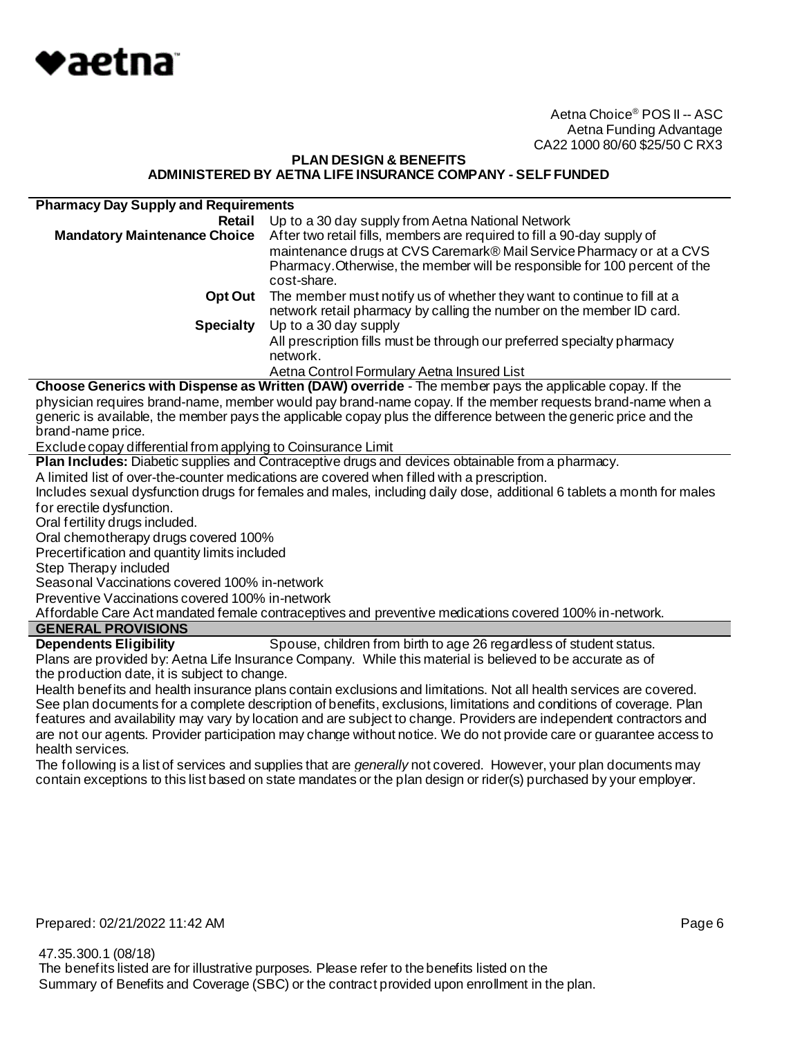

### **PLAN DESIGN & BENEFITS ADMINISTERED BY AETNA LIFE INSURANCE COMPANY - SELF FUNDED**

| <b>Pharmacy Day Supply and Requirements</b> |                                                                                                                                                                                                                                              |
|---------------------------------------------|----------------------------------------------------------------------------------------------------------------------------------------------------------------------------------------------------------------------------------------------|
| Retail                                      | Up to a 30 day supply from Aetna National Network                                                                                                                                                                                            |
| <b>Mandatory Maintenance Choice</b>         | After two retail fills, members are required to fill a 90-day supply of<br>maintenance drugs at CVS Caremark® Mail Service Pharmacy or at a CVS<br>Pharmacy. Otherwise, the member will be responsible for 100 percent of the<br>cost-share. |
| Opt Out                                     | The member must notify us of whether they want to continue to fill at a<br>network retail pharmacy by calling the number on the member ID card.                                                                                              |
| <b>Specialty</b>                            | Up to a 30 day supply                                                                                                                                                                                                                        |
|                                             | All prescription fills must be through our preferred specialty pharmacy<br>network.                                                                                                                                                          |
|                                             | Aetna Control Formulary Aetna Insured List                                                                                                                                                                                                   |

**Choose Generics with Dispense as Written (DAW) override** - The member pays the applicable copay. If the physician requires brand-name, member would pay brand-name copay. If the member requests brand-name when a generic is available, the member pays the applicable copay plus the difference between the generic price and the brand-name price.

Exclude copay differential from applying to Coinsurance Limit

**Plan Includes:** Diabetic supplies and Contraceptive drugs and devices obtainable from a pharmacy.

A limited list of over-the-counter medications are covered when filled with a prescription.

Includes sexual dysfunction drugs for females and males, including daily dose, additional 6 tablets a month for males for erectile dysfunction.

Oral fertility drugs included.

Oral chemotherapy drugs covered 100%

Precertification and quantity limits included

Step Therapy included

Seasonal Vaccinations covered 100% in-network

Preventive Vaccinations covered 100% in-network

Affordable Care Act mandated female contraceptives and preventive medications covered 100% in-network.

# **GENERAL PROVISIONS**

**Dependents Eligibility** Spouse, children from birth to age 26 regardless of student status. Plans are provided by: Aetna Life Insurance Company. While this material is believed to be accurate as of the production date, it is subject to change.

Health benefits and health insurance plans contain exclusions and limitations. Not all health services are covered. See plan documents for a complete description of benefits, exclusions, limitations and conditions of coverage. Plan features and availability may vary by location and are subject to change. Providers are independent contractors and are not our agents. Provider participation may change without notice. We do not provide care or guarantee access to health services.

The following is a list of services and supplies that are *generally* not covered. However, your plan documents may contain exceptions to this list based on state mandates or the plan design or rider(s) purchased by your employer.